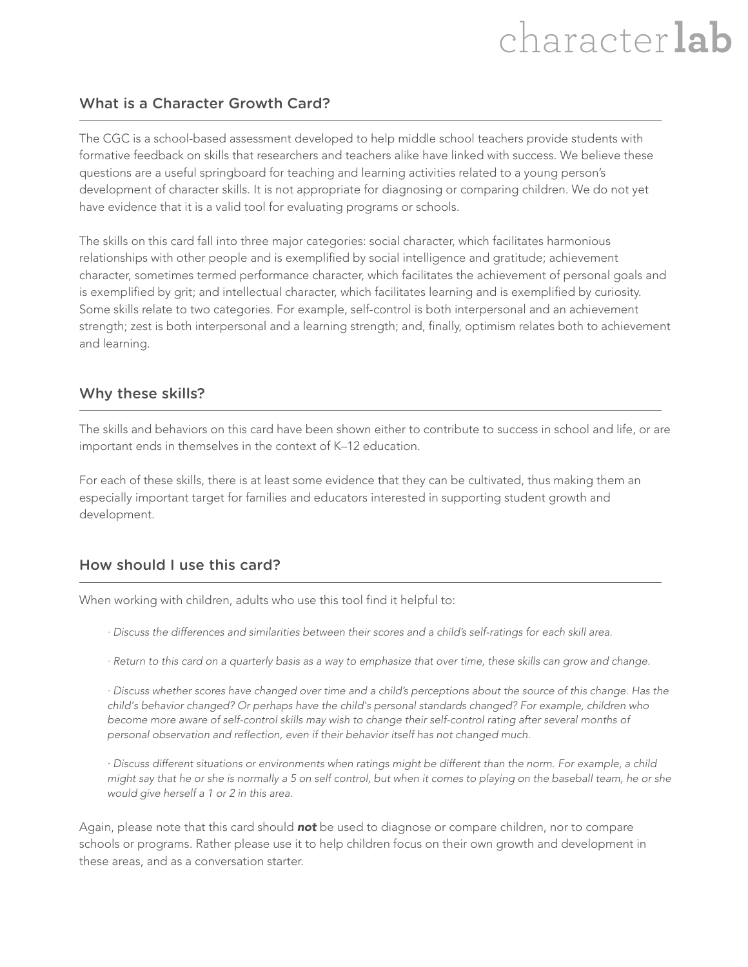# character lab

#### What is a Character Growth Card?

The CGC is a school-based assessment developed to help middle school teachers provide students with formative feedback on skills that researchers and teachers alike have linked with success. We believe these questions are a useful springboard for teaching and learning activities related to a young person's development of character skills. It is not appropriate for diagnosing or comparing children. We do not yet have evidence that it is a valid tool for evaluating programs or schools.

The skills on this card fall into three major categories: social character, which facilitates harmonious relationships with other people and is exemplified by social intelligence and gratitude; achievement character, sometimes termed performance character, which facilitates the achievement of personal goals and is exemplified by grit; and intellectual character, which facilitates learning and is exemplified by curiosity. Some skills relate to two categories. For example, self-control is both interpersonal and an achievement strength; zest is both interpersonal and a learning strength; and, finally, optimism relates both to achievement and learning.

#### Why these skills?

The skills and behaviors on this card have been shown either to contribute to success in school and life, or are important ends in themselves in the context of K–12 education.

For each of these skills, there is at least some evidence that they can be cultivated, thus making them an especially important target for families and educators interested in supporting student growth and development.

#### How should I use this card?

When working with children, adults who use this tool find it helpful to:

- · Discuss the differences and similarities between their scores and a child's self-ratings for each skill area.
- · Return to this card on a quarterly basis as a way to emphasize that over time, these skills can grow and change.

· Discuss whether scores have changed over time and a child's perceptions about the source of this change. Has the child's behavior changed? Or perhaps have the child's personal standards changed? For example, children who become more aware of self-control skills may wish to change their self-control rating after several months of personal observation and reflection, even if their behavior itself has not changed much.

· Discuss different situations or environments when ratings might be different than the norm. For example, a child might say that he or she is normally a 5 on self control, but when it comes to playing on the baseball team, he or she would give herself a 1 or 2 in this area.

Again, please note that this card should **not** be used to diagnose or compare children, nor to compare schools or programs. Rather please use it to help children focus on their own growth and development in these areas, and as a conversation starter.